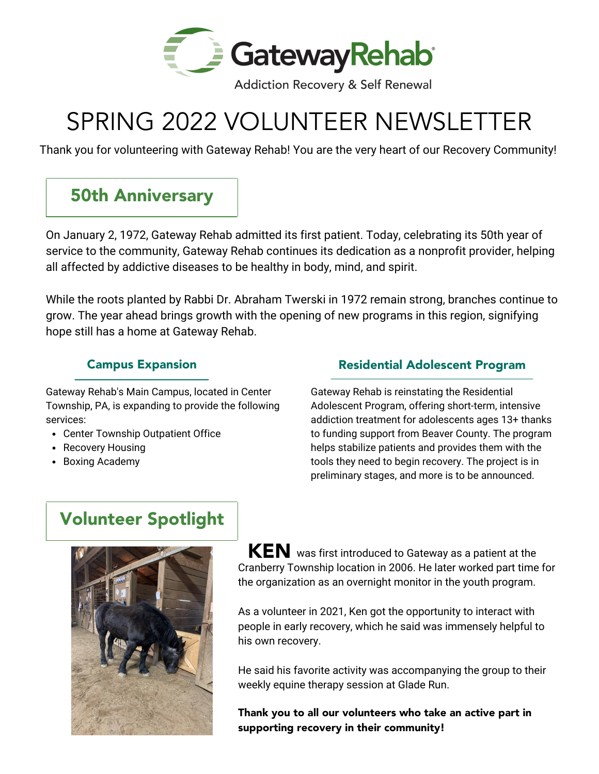

**Addiction Recovery & Self Renewal** 

# SPRING 2022 VOLUNTEER NEWSLETTER

Thank you for volunteering with Gateway Rehab! You are the very heart of our Recovery Community!

## 50th Anniversary

On January 2, 1972, Gateway Rehab admitted its first patient. Today, celebrating its 50th year of service to the community, Gateway Rehab continues its dedication as a nonprofit provider, helping all affected by addictive diseases to be healthy in body, mind, and spirit.

While the roots planted by Rabbi Dr. Abraham Twerski in 1972 remain strong, branches continue to grow. The year ahead brings growth with the opening of new programs in this region, signifying hope still has a home at Gateway Rehab.

#### Campus Expansion

Gateway Rehab's Main Campus, located in Center Township, PA, is expanding to provide the following services:

- Center Township Outpatient Office
- Recovery Housing
- Boxing Academy

#### Residential Adolescent Program

Gateway Rehab is reinstating the Residential Adolescent Program, offering short-term, intensive addiction treatment for adolescents ages 13+ thanks to funding support from Beaver County. The program helps stabilize patients and provides them with the tools they need to begin recovery. The project is in preliminary stages, and more is to be announced.

### Volunteer Spotlight



 $\textsf{KEN}\xspace$  was first introduced to Gateway as a patient at the Cranberry Township location in 2006. He later worked part time for the organization as an overnight monitor in the youth program.

As a volunteer in 2021, Ken got the opportunity to interact with people in early recovery, which he said was immensely helpful to his own recovery.

He said his favorite activity was accompanying the group to their weekly equine therapy session at Glade Run.

Thank you to all our volunteers who take an active part in supporting recovery in their community!